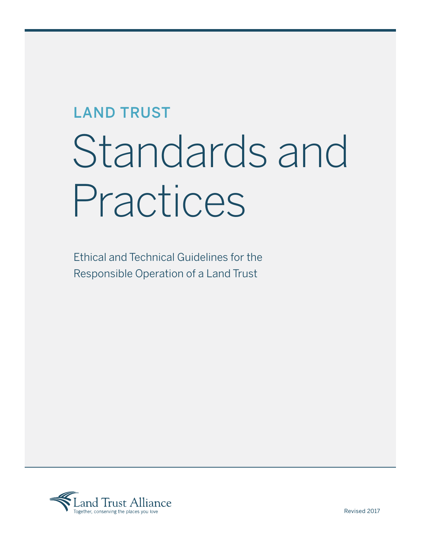# LAND TRUST Standards and Practices

Ethical and Technical Guidelines for the Responsible Operation of a Land Trust

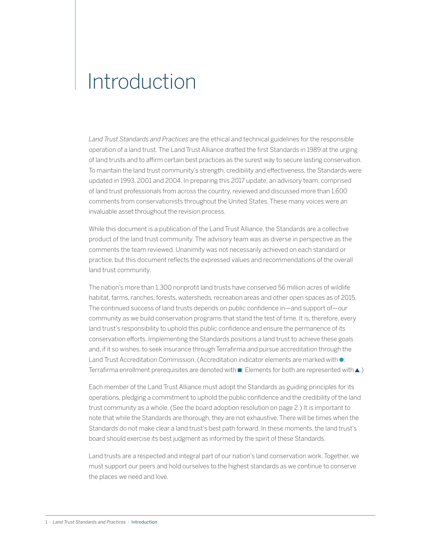### Introduction

*Land Trust Standards and Practices* are the ethical and technical guidelines for the responsible operation of a land trust. The Land Trust Alliance drafted the first Standards in 1989 at the urging of land trusts and to affirm certain best practices as the surest way to secure lasting conservation. To maintain the land trust community's strength, credibility and effectiveness, the Standards were updated in 1993, 2001 and 2004. In preparing this 2017 update, an advisory team, comprised of land trust professionals from across the country, reviewed and discussed more than 1,600 comments from conservationists throughout the United States. These many voices were an invaluable asset throughout the revision process.

While this document is a publication of the Land Trust Alliance, the Standards are a collective product of the land trust community. The advisory team was as diverse in perspective as the comments the team reviewed. Unanimity was not necessarily achieved on each standard or practice, but this document reflects the expressed values and recommendations of the overall land trust community.

The nation's more than 1,300 nonprofit land trusts have conserved 56 million acres of wildlife habitat, farms, ranches, forests, watersheds, recreation areas and other open spaces as of 2015. The continued success of land trusts depends on public confidence in—and support of—our community as we build conservation programs that stand the test of time. It is, therefore, every land trust's responsibility to uphold this public confidence and ensure the permanence of its conservation efforts. Implementing the Standards positions a land trust to achieve these goals and, if it so wishes, to seek insurance through Terrafirma and pursue accreditation through the Land Trust Accreditation Commission. (Accreditation indicator elements are marked with  $\bullet$ ; Terrafirma enrollment prerequisites are denoted with  $\blacksquare$ ; Elements for both are represented with  $\blacktriangle$ .)

Each member of the Land Trust Alliance must adopt the Standards as guiding principles for its operations, pledging a commitment to uphold the public confidence and the credibility of the land trust community as a whole. (See the board adoption resolution on page 2.) It is important to note that while the Standards are thorough, they are not exhaustive. There will be times when the Standards do not make clear a land trust's best path forward. In these moments, the land trust's board should exercise its best judgment as informed by the spirit of these Standards.

Land trusts are a respected and integral part of our nation's land conservation work. Together, we must support our peers and hold ourselves to the highest standards as we continue to conserve the places we need and love.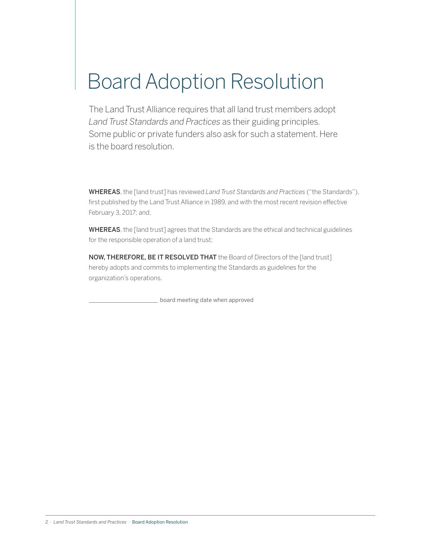# Board Adoption Resolution

The Land Trust Alliance requires that all land trust members adopt *Land Trust Standards and Practices* as their guiding principles. Some public or private funders also ask for such a statement. Here is the board resolution.

WHEREAS, the [land trust] has reviewed *Land Trust Standards and Practices* ("the Standards"), first published by the Land Trust Alliance in 1989, and with the most recent revision effective February 3, 2017; and,

WHEREAS, the [land trust] agrees that the Standards are the ethical and technical guidelines for the responsible operation of a land trust;

NOW, THEREFORE, BE IT RESOLVED THAT the Board of Directors of the [land trust] hereby adopts and commits to implementing the Standards as guidelines for the organization's operations.

board meeting date when approved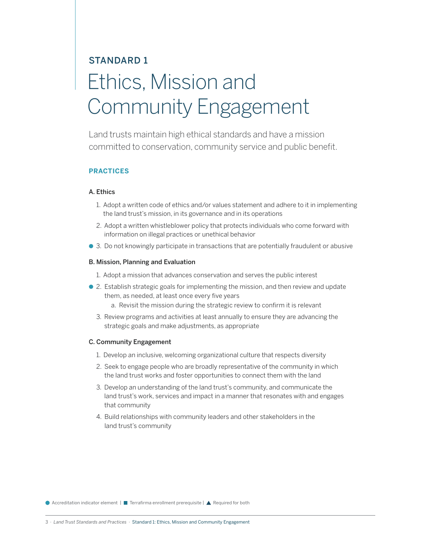## STANDARD 1 Ethics, Mission and Community Engagement

Land trusts maintain high ethical standards and have a mission committed to conservation, community service and public benefit.

#### **PRACTICES**

#### A. Ethics

- 1. Adopt a written code of ethics and/or values statement and adhere to it in implementing the land trust's mission, in its governance and in its operations
- 2. Adopt a written whistleblower policy that protects individuals who come forward with information on illegal practices or unethical behavior
- 3. Do not knowingly participate in transactions that are potentially fraudulent or abusive

#### B. Mission, Planning and Evaluation

- 1. Adopt a mission that advances conservation and serves the public interest
- 2. Establish strategic goals for implementing the mission, and then review and update them, as needed, at least once every five years
	- a. Revisit the mission during the strategic review to confirm it is relevant
	- 3. Review programs and activities at least annually to ensure they are advancing the strategic goals and make adjustments, as appropriate

#### C. Community Engagement

- 1. Develop an inclusive, welcoming organizational culture that respects diversity
- 2. Seek to engage people who are broadly representative of the community in which the land trust works and foster opportunities to connect them with the land
- 3. Develop an understanding of the land trust's community, and communicate the land trust's work, services and impact in a manner that resonates with and engages that community
- 4. Build relationships with community leaders and other stakeholders in the land trust's community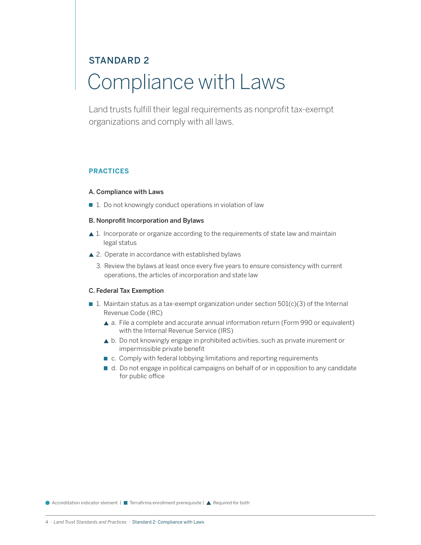### STANDARD 2 Compliance with Laws

Land trusts fulfill their legal requirements as nonprofit tax-exempt organizations and comply with all laws.

#### **PRACTICES**

#### A. Compliance with Laws

■ 1. Do not knowingly conduct operations in violation of law

#### B. Nonprofit Incorporation and Bylaws

- ▲ 1. Incorporate or organize according to the requirements of state law and maintain legal status
- ▲ 2. Operate in accordance with established bylaws
	- 3. Review the bylaws at least once every five years to ensure consistency with current operations, the articles of incorporation and state law

#### C. Federal Tax Exemption

- 1. Maintain status as a tax-exempt organization under section  $501(c)(3)$  of the Internal Revenue Code (IRC)
	- a. File a complete and accurate annual information return (Form 990 or equivalent) with the Internal Revenue Service (IRS)
	- b. Do not knowingly engage in prohibited activities, such as private inurement or impermissible private benefit
	- c. Comply with federal lobbying limitations and reporting requirements
	- d. Do not engage in political campaigns on behalf of or in opposition to any candidate for public office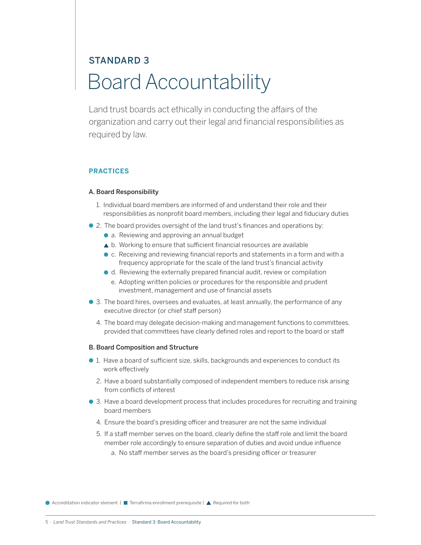### STANDARD 3 Board Accountability

Land trust boards act ethically in conducting the affairs of the organization and carry out their legal and financial responsibilities as required by law.

#### **PRACTICES**

#### A. Board Responsibility

- 1. Individual board members are informed of and understand their role and their responsibilities as nonprofit board members, including their legal and fiduciary duties
- 2. The board provides oversight of the land trust's finances and operations by:
	- a. Reviewing and approving an annual budget
	- b. Working to ensure that sufficient financial resources are available
	- c. Receiving and reviewing financial reports and statements in a form and with a frequency appropriate for the scale of the land trust's financial activity
	- d. Reviewing the externally prepared financial audit, review or compilation
		- e. Adopting written policies or procedures for the responsible and prudent investment, management and use of financial assets
- 3. The board hires, oversees and evaluates, at least annually, the performance of any executive director (or chief staff person)
	- 4. The board may delegate decision-making and management functions to committees, provided that committees have clearly defined roles and report to the board or staff

#### B. Board Composition and Structure

- 1. Have a board of sufficient size, skills, backgrounds and experiences to conduct its work effectively
	- 2. Have a board substantially composed of independent members to reduce risk arising from conflicts of interest
- 3. Have a board development process that includes procedures for recruiting and training board members
	- 4. Ensure the board's presiding officer and treasurer are not the same individual
	- 5. If a staff member serves on the board, clearly define the staff role and limit the board member role accordingly to ensure separation of duties and avoid undue influence a. No staff member serves as the board's presiding officer or treasurer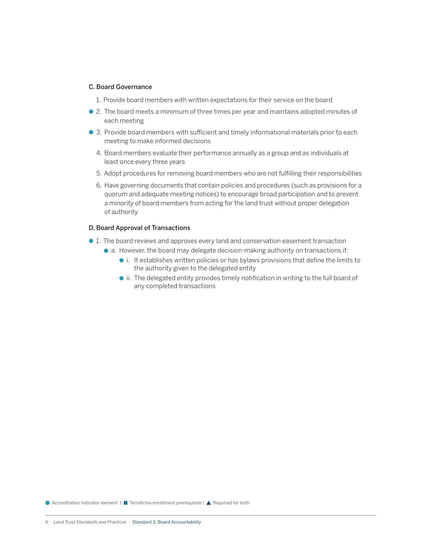#### C. Board Governance

- 1. Provide board members with written expectations for their service on the board
- 2. The board meets a minimum of three times per year and maintains adopted minutes of each meeting
- 3. Provide board members with sufficient and timely informational materials prior to each meeting to make informed decisions
	- 4. Board members evaluate their performance annually as a group and as individuals at least once every three years
	- 5. Adopt procedures for removing board members who are not fulfilling their responsibilities
	- 6. Have governing documents that contain policies and procedures (such as provisions for a quorum and adequate meeting notices) to encourage broad participation and to prevent a minority of board members from acting for the land trust without proper delegation of authority

#### D. Board Approval of Transactions

- 1. The board reviews and approves every land and conservation easement transaction
	- a. However, the board may delegate decision-making authority on transactions if:
		- i. It establishes written policies or has bylaws provisions that define the limits to the authority given to the delegated entity
		- $\bullet$  ii. The delegated entity provides timely notification in writing to the full board of any completed transactions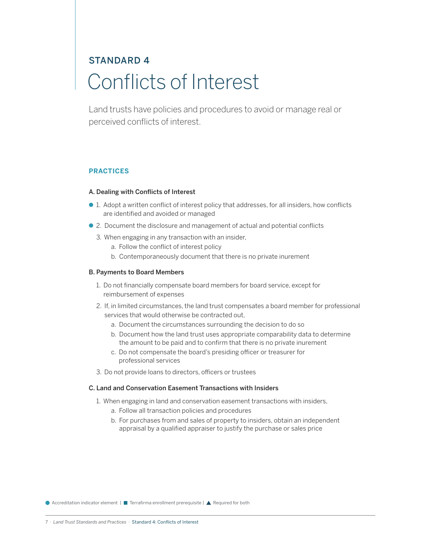### STANDARD 4 Conflicts of Interest

Land trusts have policies and procedures to avoid or manage real or perceived conflicts of interest.

#### **PRACTICES**

#### A. Dealing with Conflicts of Interest

- 1. Adopt a written conflict of interest policy that addresses, for all insiders, how conflicts are identified and avoided or managed
- 2. Document the disclosure and management of actual and potential conflicts
	- 3. When engaging in any transaction with an insider,
		- a. Follow the conflict of interest policy
		- b. Contemporaneously document that there is no private inurement

#### B. Payments to Board Members

- 1. Do not financially compensate board members for board service, except for reimbursement of expenses
- 2. If, in limited circumstances, the land trust compensates a board member for professional services that would otherwise be contracted out,
	- a. Document the circumstances surrounding the decision to do so
	- b. Document how the land trust uses appropriate comparability data to determine the amount to be paid and to confirm that there is no private inurement
	- c. Do not compensate the board's presiding officer or treasurer for professional services
- 3. Do not provide loans to directors, officers or trustees

#### C. Land and Conservation Easement Transactions with Insiders

- 1. When engaging in land and conservation easement transactions with insiders,
	- a. Follow all transaction policies and procedures
	- b. For purchases from and sales of property to insiders, obtain an independent appraisal by a qualified appraiser to justify the purchase or sales price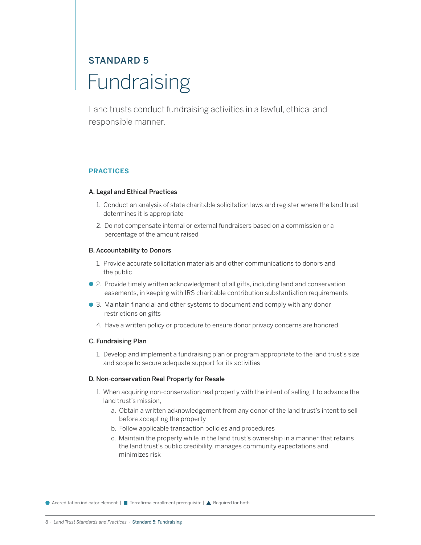### STANDARD 5 **Fundraising**

Land trusts conduct fundraising activities in a lawful, ethical and responsible manner.

#### **PRACTICES**

#### A. Legal and Ethical Practices

- 1. Conduct an analysis of state charitable solicitation laws and register where the land trust determines it is appropriate
- 2. Do not compensate internal or external fundraisers based on a commission or a percentage of the amount raised

#### B. Accountability to Donors

- 1. Provide accurate solicitation materials and other communications to donors and the public
- 2. Provide timely written acknowledgment of all gifts, including land and conservation easements, in keeping with IRS charitable contribution substantiation requirements
- 3. Maintain financial and other systems to document and comply with any donor restrictions on gifts
	- 4. Have a written policy or procedure to ensure donor privacy concerns are honored

#### C. Fundraising Plan

1. Develop and implement a fundraising plan or program appropriate to the land trust's size and scope to secure adequate support for its activities

#### D. Non-conservation Real Property for Resale

- 1. When acquiring non-conservation real property with the intent of selling it to advance the land trust's mission,
	- a. Obtain a written acknowledgement from any donor of the land trust's intent to sell before accepting the property
	- b. Follow applicable transaction policies and procedures
	- c. Maintain the property while in the land trust's ownership in a manner that retains the land trust's public credibility, manages community expectations and minimizes risk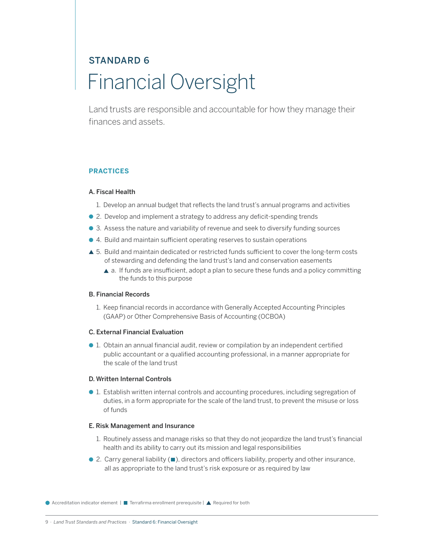### STANDARD 6 Financial Oversight

Land trusts are responsible and accountable for how they manage their finances and assets.

#### **PRACTICES**

#### A. Fiscal Health

- 1. Develop an annual budget that reflects the land trust's annual programs and activities
- 2. Develop and implement a strategy to address any deficit-spending trends
- 3. Assess the nature and variability of revenue and seek to diversify funding sources
- 4. Build and maintain sufficient operating reserves to sustain operations
- ▲ 5. Build and maintain dedicated or restricted funds sufficient to cover the long-term costs of stewarding and defending the land trust's land and conservation easements
	- $\triangle$  a. If funds are insufficient, adopt a plan to secure these funds and a policy committing the funds to this purpose

#### B. Financial Records

1. Keep financial records in accordance with Generally Accepted Accounting Principles (GAAP) or Other Comprehensive Basis of Accounting (OCBOA)

#### C. External Financial Evaluation

 1. Obtain an annual financial audit, review or compilation by an independent certified public accountant or a qualified accounting professional, in a manner appropriate for the scale of the land trust

#### D. Written Internal Controls

 1. Establish written internal controls and accounting procedures, including segregation of duties, in a form appropriate for the scale of the land trust, to prevent the misuse or loss of funds

#### E. Risk Management and Insurance

- 1. Routinely assess and manage risks so that they do not jeopardize the land trust's financial health and its ability to carry out its mission and legal responsibilities
- $\bullet$  2. Carry general liability ( $\blacksquare$ ), directors and officers liability, property and other insurance, all as appropriate to the land trust's risk exposure or as required by law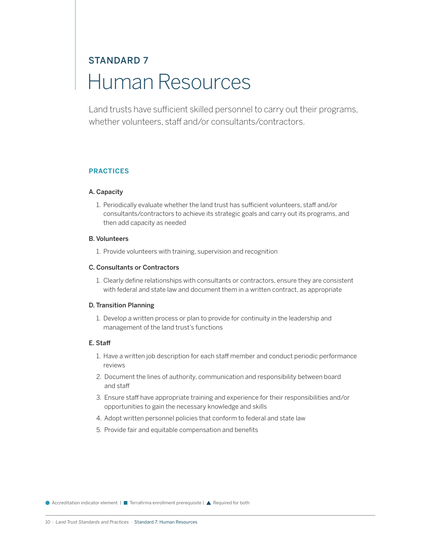### STANDARD 7 Human Resources

Land trusts have sufficient skilled personnel to carry out their programs, whether volunteers, staff and/or consultants/contractors.

#### **PRACTICES**

#### A. Capacity

1. Periodically evaluate whether the land trust has sufficient volunteers, staff and/or consultants/contractors to achieve its strategic goals and carry out its programs, and then add capacity as needed

#### B. Volunteers

1. Provide volunteers with training, supervision and recognition

#### C. Consultants or Contractors

1. Clearly define relationships with consultants or contractors, ensure they are consistent with federal and state law and document them in a written contract, as appropriate

#### D. Transition Planning

1. Develop a written process or plan to provide for continuity in the leadership and management of the land trust's functions

#### E. Staff

- 1. Have a written job description for each staff member and conduct periodic performance reviews
- 2. Document the lines of authority, communication and responsibility between board and staff
- 3. Ensure staff have appropriate training and experience for their responsibilities and/or opportunities to gain the necessary knowledge and skills
- 4. Adopt written personnel policies that conform to federal and state law
- 5. Provide fair and equitable compensation and benefits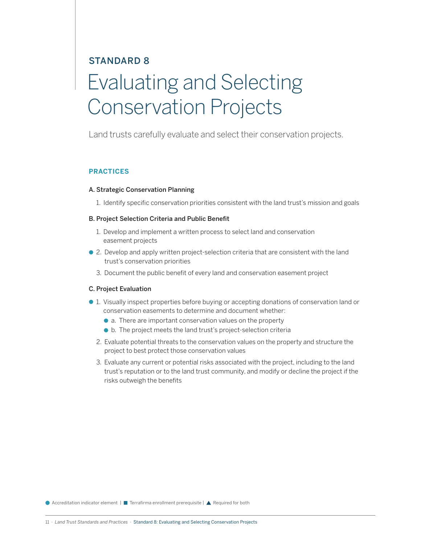### STANDARD 8 Evaluating and Selecting Conservation Projects

Land trusts carefully evaluate and select their conservation projects.

#### **PRACTICES**

#### A. Strategic Conservation Planning

1. Identify specific conservation priorities consistent with the land trust's mission and goals

#### B. Project Selection Criteria and Public Benefit

- 1. Develop and implement a written process to select land and conservation easement projects
- 2. Develop and apply written project-selection criteria that are consistent with the land trust's conservation priorities
	- 3. Document the public benefit of every land and conservation easement project

#### C. Project Evaluation

- 1. Visually inspect properties before buying or accepting donations of conservation land or conservation easements to determine and document whether:
	- a. There are important conservation values on the property
	- b. The project meets the land trust's project-selection criteria
	- 2. Evaluate potential threats to the conservation values on the property and structure the project to best protect those conservation values
	- 3. Evaluate any current or potential risks associated with the project, including to the land trust's reputation or to the land trust community, and modify or decline the project if the risks outweigh the benefits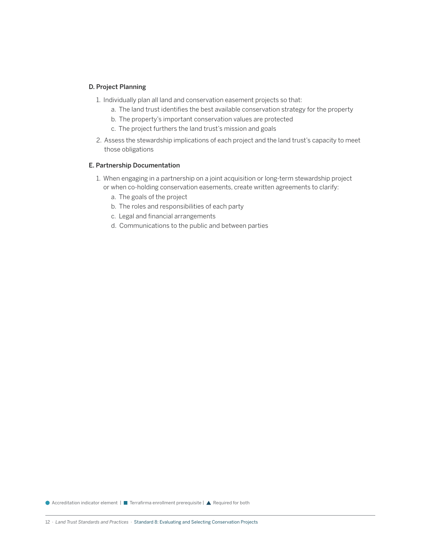#### D. Project Planning

- 1. Individually plan all land and conservation easement projects so that:
	- a. The land trust identifies the best available conservation strategy for the property
	- b. The property's important conservation values are protected
	- c. The project furthers the land trust's mission and goals
- 2. Assess the stewardship implications of each project and the land trust's capacity to meet those obligations

#### E. Partnership Documentation

- 1. When engaging in a partnership on a joint acquisition or long-term stewardship project or when co-holding conservation easements, create written agreements to clarify:
	- a. The goals of the project
	- b. The roles and responsibilities of each party
	- c. Legal and financial arrangements
	- d. Communications to the public and between parties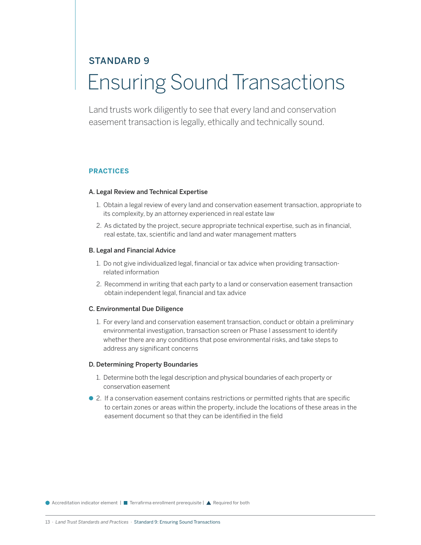### STANDARD 9 Ensuring Sound Transactions

Land trusts work diligently to see that every land and conservation easement transaction is legally, ethically and technically sound.

#### **PRACTICES**

#### A. Legal Review and Technical Expertise

- 1. Obtain a legal review of every land and conservation easement transaction, appropriate to its complexity, by an attorney experienced in real estate law
- 2. As dictated by the project, secure appropriate technical expertise, such as in financial, real estate, tax, scientific and land and water management matters

#### B. Legal and Financial Advice

- 1. Do not give individualized legal, financial or tax advice when providing transactionrelated information
- 2. Recommend in writing that each party to a land or conservation easement transaction obtain independent legal, financial and tax advice

#### C. Environmental Due Diligence

1. For every land and conservation easement transaction, conduct or obtain a preliminary environmental investigation, transaction screen or Phase I assessment to identify whether there are any conditions that pose environmental risks, and take steps to address any significant concerns

#### D. Determining Property Boundaries

- 1. Determine both the legal description and physical boundaries of each property or conservation easement
- 2. If a conservation easement contains restrictions or permitted rights that are specific to certain zones or areas within the property, include the locations of these areas in the easement document so that they can be identified in the field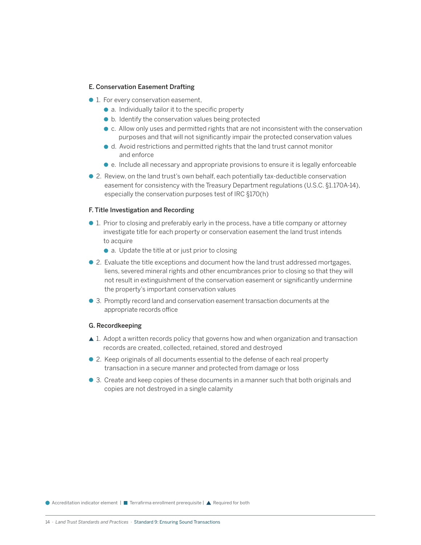#### E. Conservation Easement Drafting

- 1. For every conservation easement,
	- a. Individually tailor it to the specific property
	- b. Identify the conservation values being protected
	- c. Allow only uses and permitted rights that are not inconsistent with the conservation purposes and that will not significantly impair the protected conservation values
	- d. Avoid restrictions and permitted rights that the land trust cannot monitor and enforce
	- e. Include all necessary and appropriate provisions to ensure it is legally enforceable
- 2. Review, on the land trust's own behalf, each potentially tax-deductible conservation easement for consistency with the Treasury Department regulations (U.S.C. §1.170A-14), especially the conservation purposes test of IRC §170(h)

#### F. Title Investigation and Recording

- 1. Prior to closing and preferably early in the process, have a title company or attorney investigate title for each property or conservation easement the land trust intends to acquire
	- a. Update the title at or just prior to closing
- 2. Evaluate the title exceptions and document how the land trust addressed mortgages, liens, severed mineral rights and other encumbrances prior to closing so that they will not result in extinguishment of the conservation easement or significantly undermine the property's important conservation values
- 3. Promptly record land and conservation easement transaction documents at the appropriate records office

#### G. Recordkeeping

- ▲ 1. Adopt a written records policy that governs how and when organization and transaction records are created, collected, retained, stored and destroyed
- 2. Keep originals of all documents essential to the defense of each real property transaction in a secure manner and protected from damage or loss
- 3. Create and keep copies of these documents in a manner such that both originals and copies are not destroyed in a single calamity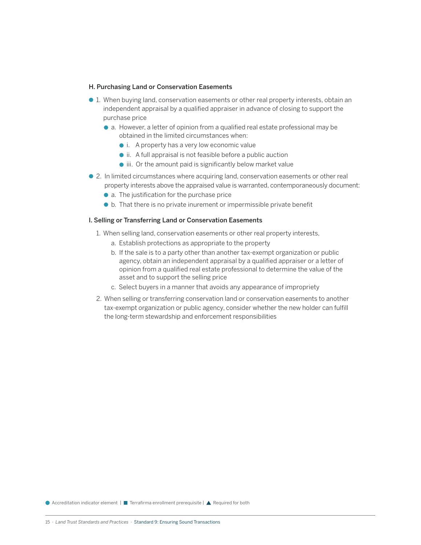#### H. Purchasing Land or Conservation Easements

- 1. When buying land, conservation easements or other real property interests, obtain an independent appraisal by a qualified appraiser in advance of closing to support the purchase price
	- a. However, a letter of opinion from a qualified real estate professional may be obtained in the limited circumstances when:
		- i. A property has a very low economic value
		- ii. A full appraisal is not feasible before a public auction
		- $\bullet$  iii. Or the amount paid is significantly below market value
- 2. In limited circumstances where acquiring land, conservation easements or other real property interests above the appraised value is warranted, contemporaneously document:
	- a. The justification for the purchase price
	- $\bullet$  b. That there is no private inurement or impermissible private benefit

#### I. Selling or Transferring Land or Conservation Easements

- 1. When selling land, conservation easements or other real property interests,
	- a. Establish protections as appropriate to the property
	- b. If the sale is to a party other than another tax-exempt organization or public agency, obtain an independent appraisal by a qualified appraiser or a letter of opinion from a qualified real estate professional to determine the value of the asset and to support the selling price
	- c. Select buyers in a manner that avoids any appearance of impropriety
- 2. When selling or transferring conservation land or conservation easements to another tax-exempt organization or public agency, consider whether the new holder can fulfill the long-term stewardship and enforcement responsibilities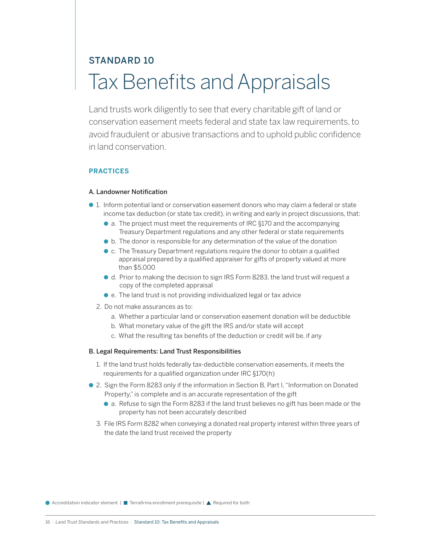### STANDARD 10 Tax Benefits and Appraisals

Land trusts work diligently to see that every charitable gift of land or conservation easement meets federal and state tax law requirements, to avoid fraudulent or abusive transactions and to uphold public confidence in land conservation.

#### **PRACTICES**

#### A. Landowner Notification

- 1. Inform potential land or conservation easement donors who may claim a federal or state income tax deduction (or state tax credit), in writing and early in project discussions, that:
	- a. The project must meet the requirements of IRC §170 and the accompanying Treasury Department regulations and any other federal or state requirements
	- b. The donor is responsible for any determination of the value of the donation
	- c. The Treasury Department regulations require the donor to obtain a qualified appraisal prepared by a qualified appraiser for gifts of property valued at more than \$5,000
	- d. Prior to making the decision to sign IRS Form 8283, the land trust will request a copy of the completed appraisal
	- e. The land trust is not providing individualized legal or tax advice
	- 2. Do not make assurances as to:
		- a. Whether a particular land or conservation easement donation will be deductible
		- b. What monetary value of the gift the IRS and/or state will accept
		- c. What the resulting tax benefits of the deduction or credit will be, if any

#### B. Legal Requirements: Land Trust Responsibilities

- 1. If the land trust holds federally tax-deductible conservation easements, it meets the requirements for a qualified organization under IRC §170(h)
- 2. Sign the Form 8283 only if the information in Section B, Part I, "Information on Donated Property," is complete and is an accurate representation of the gift
	- a. Refuse to sign the Form 8283 if the land trust believes no gift has been made or the property has not been accurately described
	- 3. File IRS Form 8282 when conveying a donated real property interest within three years of the date the land trust received the property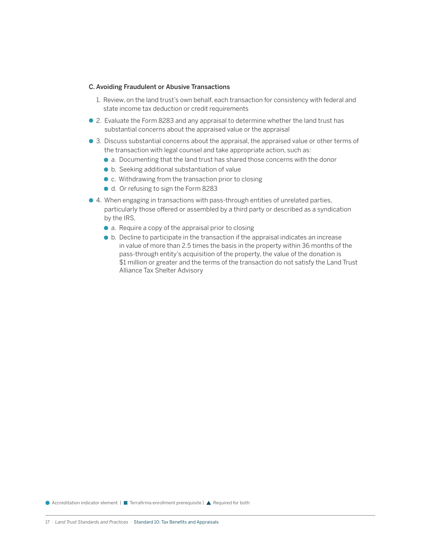#### C. Avoiding Fraudulent or Abusive Transactions

- 1. Review, on the land trust's own behalf, each transaction for consistency with federal and state income tax deduction or credit requirements
- 2. Evaluate the Form 8283 and any appraisal to determine whether the land trust has substantial concerns about the appraised value or the appraisal
- 3. Discuss substantial concerns about the appraisal, the appraised value or other terms of the transaction with legal counsel and take appropriate action, such as:
	- a. Documenting that the land trust has shared those concerns with the donor
	- b. Seeking additional substantiation of value
	- c. Withdrawing from the transaction prior to closing
	- d. Or refusing to sign the Form 8283
- 4. When engaging in transactions with pass-through entities of unrelated parties, particularly those offered or assembled by a third party or described as a syndication by the IRS,
	- a. Require a copy of the appraisal prior to closing
	- b. Decline to participate in the transaction if the appraisal indicates an increase in value of more than 2.5 times the basis in the property within 36 months of the pass-through entity's acquisition of the property, the value of the donation is \$1 million or greater and the terms of the transaction do not satisfy the Land Trust Alliance Tax Shelter Advisory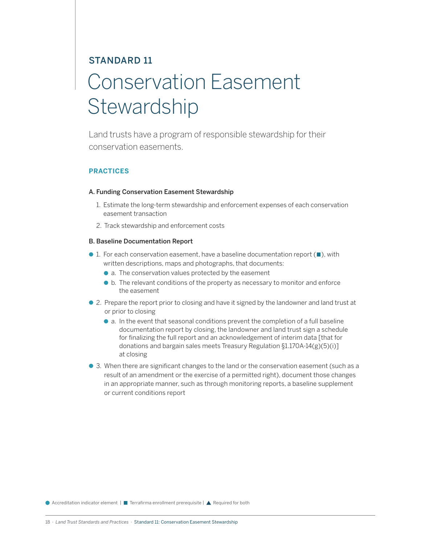### STANDARD 11 Conservation Easement **Stewardship**

Land trusts have a program of responsible stewardship for their conservation easements.

#### **PRACTICES**

#### A. Funding Conservation Easement Stewardship

- 1. Estimate the long-term stewardship and enforcement expenses of each conservation easement transaction
- 2. Track stewardship and enforcement costs

#### B. Baseline Documentation Report

- $\bullet$  1. For each conservation easement, have a baseline documentation report ( $\blacksquare$ ), with written descriptions, maps and photographs, that documents:
	- a. The conservation values protected by the easement
	- b. The relevant conditions of the property as necessary to monitor and enforce the easement
- 2. Prepare the report prior to closing and have it signed by the landowner and land trust at or prior to closing
	- a. In the event that seasonal conditions prevent the completion of a full baseline documentation report by closing, the landowner and land trust sign a schedule for finalizing the full report and an acknowledgement of interim data [that for donations and bargain sales meets Treasury Regulation §1.170A-14(g)(5)(i)] at closing
- 3. When there are significant changes to the land or the conservation easement (such as a result of an amendment or the exercise of a permitted right), document those changes in an appropriate manner, such as through monitoring reports, a baseline supplement or current conditions report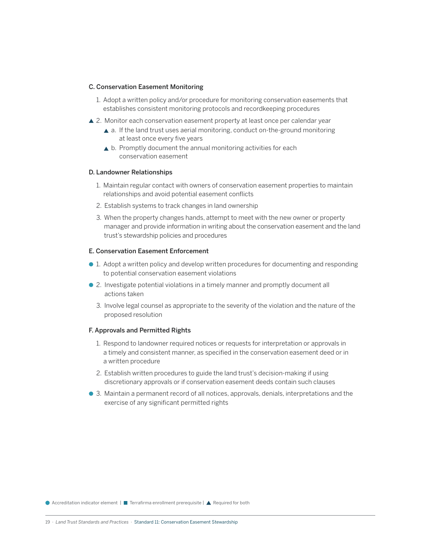#### C. Conservation Easement Monitoring

- 1. Adopt a written policy and/or procedure for monitoring conservation easements that establishes consistent monitoring protocols and recordkeeping procedures
- ▲ 2. Monitor each conservation easement property at least once per calendar year
	- ▲ a. If the land trust uses aerial monitoring, conduct on-the-ground monitoring at least once every five years
	- ▲ b. Promptly document the annual monitoring activities for each conservation easement

#### D. Landowner Relationships

- 1. Maintain regular contact with owners of conservation easement properties to maintain relationships and avoid potential easement conflicts
- 2. Establish systems to track changes in land ownership
- 3. When the property changes hands, attempt to meet with the new owner or property manager and provide information in writing about the conservation easement and the land trust's stewardship policies and procedures

#### E. Conservation Easement Enforcement

- 1. Adopt a written policy and develop written procedures for documenting and responding to potential conservation easement violations
- 2. Investigate potential violations in a timely manner and promptly document all actions taken
	- 3. Involve legal counsel as appropriate to the severity of the violation and the nature of the proposed resolution

#### F. Approvals and Permitted Rights

- 1. Respond to landowner required notices or requests for interpretation or approvals in a timely and consistent manner, as specified in the conservation easement deed or in a written procedure
- 2. Establish written procedures to guide the land trust's decision-making if using discretionary approvals or if conservation easement deeds contain such clauses
- 3. Maintain a permanent record of all notices, approvals, denials, interpretations and the exercise of any significant permitted rights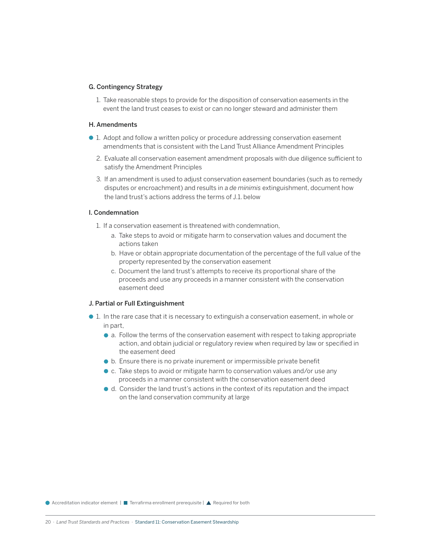#### G. Contingency Strategy

1. Take reasonable steps to provide for the disposition of conservation easements in the event the land trust ceases to exist or can no longer steward and administer them

#### H. Amendments

- 1. Adopt and follow a written policy or procedure addressing conservation easement amendments that is consistent with the Land Trust Alliance Amendment Principles
	- 2. Evaluate all conservation easement amendment proposals with due diligence sufficient to satisfy the Amendment Principles
	- 3. If an amendment is used to adjust conservation easement boundaries (such as to remedy disputes or encroachment) and results in a *de minimis* extinguishment, document how the land trust's actions address the terms of J.1. below

#### I. Condemnation

- 1. If a conservation easement is threatened with condemnation,
	- a. Take steps to avoid or mitigate harm to conservation values and document the actions taken
	- b. Have or obtain appropriate documentation of the percentage of the full value of the property represented by the conservation easement
	- c. Document the land trust's attempts to receive its proportional share of the proceeds and use any proceeds in a manner consistent with the conservation easement deed

#### J. Partial or Full Extinguishment

- 1. In the rare case that it is necessary to extinguish a conservation easement, in whole or in part,
	- a. Follow the terms of the conservation easement with respect to taking appropriate action, and obtain judicial or regulatory review when required by law or specified in the easement deed
	- b. Ensure there is no private inurement or impermissible private benefit
	- c. Take steps to avoid or mitigate harm to conservation values and/or use any proceeds in a manner consistent with the conservation easement deed
	- d. Consider the land trust's actions in the context of its reputation and the impact on the land conservation community at large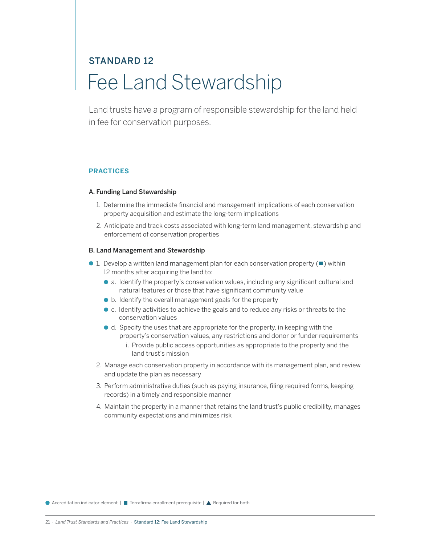### STANDARD 12 Fee Land Stewardship

Land trusts have a program of responsible stewardship for the land held in fee for conservation purposes.

#### **PRACTICES**

#### A. Funding Land Stewardship

- 1. Determine the immediate financial and management implications of each conservation property acquisition and estimate the long-term implications
- 2. Anticipate and track costs associated with long-term land management, stewardship and enforcement of conservation properties

#### B. Land Management and Stewardship

- $\bullet$  1. Develop a written land management plan for each conservation property ( $\blacksquare$ ) within 12 months after acquiring the land to:
	- a. Identify the property's conservation values, including any significant cultural and natural features or those that have significant community value
	- b. Identify the overall management goals for the property
	- c. Identify activities to achieve the goals and to reduce any risks or threats to the conservation values
	- d. Specify the uses that are appropriate for the property, in keeping with the property's conservation values, any restrictions and donor or funder requirements
		- i. Provide public access opportunities as appropriate to the property and the land trust's mission
	- 2. Manage each conservation property in accordance with its management plan, and review and update the plan as necessary
	- 3. Perform administrative duties (such as paying insurance, filing required forms, keeping records) in a timely and responsible manner
	- 4. Maintain the property in a manner that retains the land trust's public credibility, manages community expectations and minimizes risk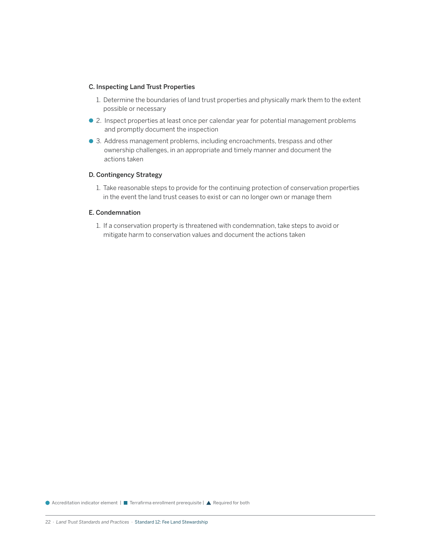#### C. Inspecting Land Trust Properties

- 1. Determine the boundaries of land trust properties and physically mark them to the extent possible or necessary
- 2. Inspect properties at least once per calendar year for potential management problems and promptly document the inspection
- 3. Address management problems, including encroachments, trespass and other ownership challenges, in an appropriate and timely manner and document the actions taken

#### D. Contingency Strategy

1. Take reasonable steps to provide for the continuing protection of conservation properties in the event the land trust ceases to exist or can no longer own or manage them

#### E. Condemnation

1. If a conservation property is threatened with condemnation, take steps to avoid or mitigate harm to conservation values and document the actions taken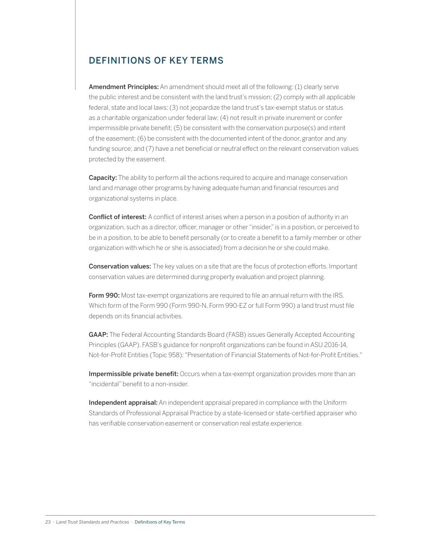### DEFINITIONS OF KEY TERMS

Amendment Principles: An amendment should meet all of the following: (1) clearly serve the public interest and be consistent with the land trust's mission; (2) comply with all applicable federal, state and local laws; (3) not jeopardize the land trust's tax-exempt status or status as a charitable organization under federal law; (4) not result in private inurement or confer impermissible private benefit; (5) be consistent with the conservation purpose(s) and intent of the easement; (6) be consistent with the documented intent of the donor, grantor and any funding source; and (7) have a net beneficial or neutral effect on the relevant conservation values protected by the easement.

**Capacity:** The ability to perform all the actions required to acquire and manage conservation land and manage other programs by having adequate human and financial resources and organizational systems in place.

**Conflict of interest:** A conflict of interest arises when a person in a position of authority in an organization, such as a director, officer, manager or other "insider," is in a position, or perceived to be in a position, to be able to benefit personally (or to create a benefit to a family member or other organization with which he or she is associated) from a decision he or she could make.

**Conservation values:** The key values on a site that are the focus of protection efforts. Important conservation values are determined during property evaluation and project planning.

Form 990: Most tax-exempt organizations are required to file an annual return with the IRS. Which form of the Form 990 (Form 990-N, Form 990-EZ or full Form 990) a land trust must file depends on its financial activities.

GAAP: The Federal Accounting Standards Board (FASB) issues Generally Accepted Accounting Principles (GAAP). FASB's guidance for nonprofit organizations can be found in ASU 2016-14, Not-for-Profit Entities (Topic 958): "Presentation of Financial Statements of Not-for-Profit Entities."

Impermissible private benefit: Occurs when a tax-exempt organization provides more than an "incidental" benefit to a non-insider.

Independent appraisal: An independent appraisal prepared in compliance with the Uniform Standards of Professional Appraisal Practice by a state-licensed or state-certified appraiser who has verifiable conservation easement or conservation real estate experience.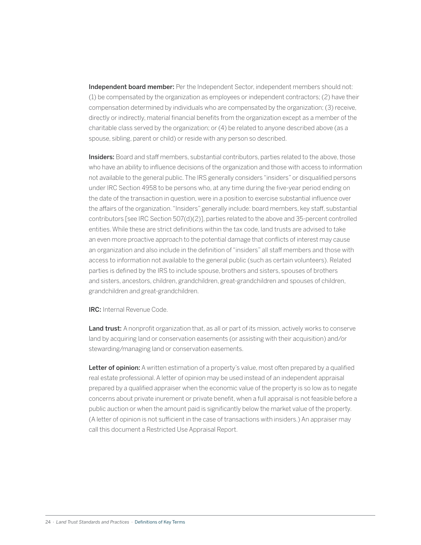Independent board member: Per the Independent Sector, independent members should not: (1) be compensated by the organization as employees or independent contractors; (2) have their compensation determined by individuals who are compensated by the organization; (3) receive, directly or indirectly, material financial benefits from the organization except as a member of the charitable class served by the organization; or (4) be related to anyone described above (as a spouse, sibling, parent or child) or reside with any person so described.

Insiders: Board and staff members, substantial contributors, parties related to the above, those who have an ability to influence decisions of the organization and those with access to information not available to the general public. The IRS generally considers "insiders" or disqualified persons under IRC Section 4958 to be persons who, at any time during the five-year period ending on the date of the transaction in question, were in a position to exercise substantial influence over the affairs of the organization. "Insiders" generally include: board members, key staff, substantial contributors [see IRC Section 507(d)(2)], parties related to the above and 35-percent controlled entities. While these are strict definitions within the tax code, land trusts are advised to take an even more proactive approach to the potential damage that conflicts of interest may cause an organization and also include in the definition of "insiders" all staff members and those with access to information not available to the general public (such as certain volunteers). Related parties is defined by the IRS to include spouse, brothers and sisters, spouses of brothers and sisters, ancestors, children, grandchildren, great-grandchildren and spouses of children, grandchildren and great-grandchildren.

IRC: Internal Revenue Code.

Land trust: A nonprofit organization that, as all or part of its mission, actively works to conserve land by acquiring land or conservation easements (or assisting with their acquisition) and/or stewarding/managing land or conservation easements.

Letter of opinion: A written estimation of a property's value, most often prepared by a qualified real estate professional. A letter of opinion may be used instead of an independent appraisal prepared by a qualified appraiser when the economic value of the property is so low as to negate concerns about private inurement or private benefit, when a full appraisal is not feasible before a public auction or when the amount paid is significantly below the market value of the property. (A letter of opinion is not sufficient in the case of transactions with insiders.) An appraiser may call this document a Restricted Use Appraisal Report.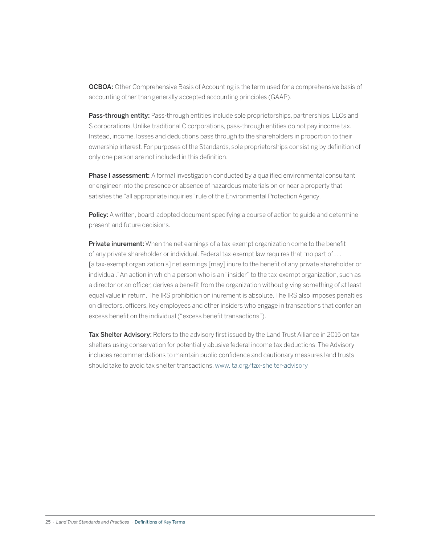**OCBOA:** Other Comprehensive Basis of Accounting is the term used for a comprehensive basis of accounting other than generally accepted accounting principles (GAAP).

Pass-through entity: Pass-through entities include sole proprietorships, partnerships, LLCs and S corporations. Unlike traditional C corporations, pass-through entities do not pay income tax. Instead, income, losses and deductions pass through to the shareholders in proportion to their ownership interest. For purposes of the Standards, sole proprietorships consisting by definition of only one person are not included in this definition.

**Phase I assessment:** A formal investigation conducted by a qualified environmental consultant or engineer into the presence or absence of hazardous materials on or near a property that satisfies the "all appropriate inquiries" rule of the Environmental Protection Agency.

Policy: A written, board-adopted document specifying a course of action to guide and determine present and future decisions.

**Private inurement:** When the net earnings of a tax-exempt organization come to the benefit of any private shareholder or individual. Federal tax-exempt law requires that "no part of . . . [a tax-exempt organization's] net earnings [may] inure to the benefit of any private shareholder or individual." An action in which a person who is an "insider" to the tax-exempt organization, such as a director or an officer, derives a benefit from the organization without giving something of at least equal value in return. The IRS prohibition on inurement is absolute. The IRS also imposes penalties on directors, officers, key employees and other insiders who engage in transactions that confer an excess benefit on the individual ("excess benefit transactions").

Tax Shelter Advisory: Refers to the advisory first issued by the Land Trust Alliance in 2015 on tax shelters using conservation for potentially abusive federal income tax deductions. The Advisory includes recommendations to maintain public confidence and cautionary measures land trusts should take to avoid tax shelter transactions. [www.lta.org/tax-shelter-advisory](http://www.lta.org/tax-shelter-advisory)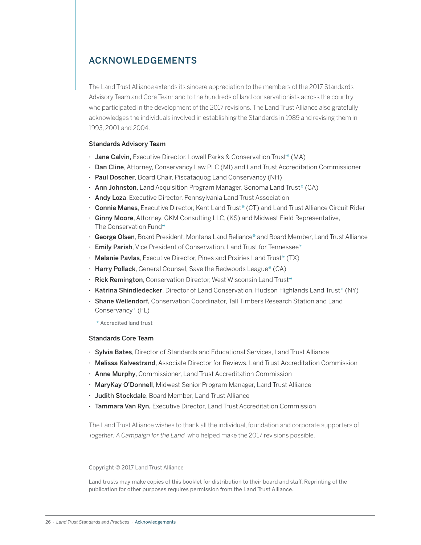### ACKNOWLEDGEMENTS

The Land Trust Alliance extends its sincere appreciation to the members of the 2017 Standards Advisory Team and Core Team and to the hundreds of land conservationists across the country who participated in the development of the 2017 revisions. The Land Trust Alliance also gratefully acknowledges the individuals involved in establishing the Standards in 1989 and revising them in 1993, 2001 and 2004.

#### Standards Advisory Team

- Jane Calvin, Executive Director, Lowell Parks & Conservation Trust\* (MA)
- Dan Cline, Attorney, Conservancy Law PLC (MI) and Land Trust Accreditation Commissioner
- Paul Doscher, Board Chair, Piscataquog Land Conservancy (NH)
- Ann Johnston, Land Acquisition Program Manager, Sonoma Land Trust<sup>\*</sup> (CA)
- Andy Loza, Executive Director, Pennsylvania Land Trust Association
- Connie Manes, Executive Director, Kent Land Trust\* (CT) and Land Trust Alliance Circuit Rider
- Ginny Moore, Attorney, GKM Consulting LLC, (KS) and Midwest Field Representative, The Conservation Fund\*
- George Olsen, Board President, Montana Land Reliance\* and Board Member, Land Trust Alliance
- Emily Parish, Vice President of Conservation, Land Trust for Tennessee\*
- $\cdot$  Melanie Pavlas, Executive Director, Pines and Prairies Land Trust\* (TX)
- $\cdot$  Harry Pollack, General Counsel, Save the Redwoods League\* (CA)
- Rick Remington, Conservation Director, West Wisconsin Land Trust\*
- Katrina Shindledecker, Director of Land Conservation, Hudson Highlands Land Trust\* (NY)
- Shane Wellendorf, Conservation Coordinator, Tall Timbers Research Station and Land Conservancy\* (FL)

*\** Accredited land trust

#### Standards Core Team

- Sylvia Bates, Director of Standards and Educational Services, Land Trust Alliance
- Melissa Kalvestrand, Associate Director for Reviews, Land Trust Accreditation Commission
- Anne Murphy, Commissioner, Land Trust Accreditation Commission
- MaryKay O'Donnell, Midwest Senior Program Manager, Land Trust Alliance
- Judith Stockdale, Board Member, Land Trust Alliance
- Tammara Van Ryn, Executive Director, Land Trust Accreditation Commission

The Land Trust Alliance wishes to thank all the individual, foundation and corporate supporters of *Together: A Campaign for the Land* who helped make the 2017 revisions possible.

#### Copyright © 2017 Land Trust Alliance

Land trusts may make copies of this booklet for distribution to their board and staff. Reprinting of the publication for other purposes requires permission from the Land Trust Alliance.